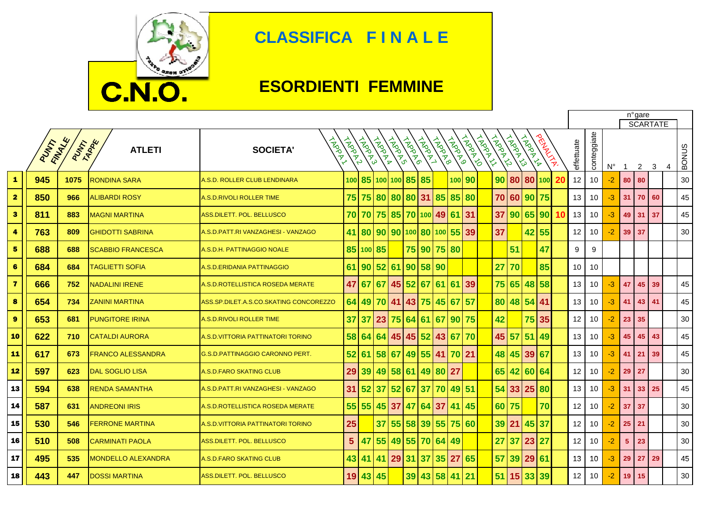

## **CLASSIFICA F I N A L E**

## **ESORDIENTI FEMMINE**

|                         |      |                          |                           |                                        |                |        |                   |             |          |                 |                       |              |              |                     |          |              | n°gare<br><b>SCARTATE</b> |    |    |                 |                 |             |                 |                |    |   |              |
|-------------------------|------|--------------------------|---------------------------|----------------------------------------|----------------|--------|-------------------|-------------|----------|-----------------|-----------------------|--------------|--------------|---------------------|----------|--------------|---------------------------|----|----|-----------------|-----------------|-------------|-----------------|----------------|----|---|--------------|
|                         | PUMP | FINANCE<br><b>PUTARE</b> | <b>ATLETI</b>             | <b>ARDAR</b><br><b>SOCIETA'</b>        | <b>HARRY</b>   | TARRAY | <b>HARDAY</b>     | <b>HARD</b> | HANDRO   | <b>HARDINAL</b> | <b>HARANO</b>         | <b>HADRO</b> | <b>ADOLF</b> | FROOD -<br>$\delta$ | CAPE AVI | <b>INDOX</b> | <b>PROPILE</b>            |    |    | effettuate      | conteggiate     | $N^{\circ}$ | $\mathbf{1}$    | $\overline{2}$ | 3  | 4 | <b>BONUS</b> |
| $\mathbf{1}$            | 945  | 1075                     | <b>RONDINA SARA</b>       | A.S.D. ROLLER CLUB LENDINARA           |                |        | 100 85 100 100 85 |             |          | 85              |                       |              | 100 90       |                     | 90 80    |              | 80 100                    |    |    | 12              | 10 <sup>1</sup> | $-2$        | 80              | 80             |    |   | 30           |
| $\overline{\mathbf{2}}$ | 850  | 966                      | <b>ALIBARDI ROSY</b>      | <b>A.S.D.RIVOLI ROLLER TIME</b>        | 75             |        | 75 80             |             | 80 80 31 |                 | 85                    | 85           | 80           |                     | 70 60    |              | 90 75                     |    |    | 13              | 10 <sup>°</sup> | $-3$        | 31              | 70             | 60 |   | 45           |
| $\ddot{\mathbf{3}}$     | 811  | 883                      | <b>MAGNI MARTINA</b>      | <b>ASS.DILETT. POL. BELLUSCO</b>       | 70             | 70     |                   |             |          |                 | 75 85 70 100 49 61 31 |              |              |                     | 37       | 90           | 65 90                     |    | 10 | 13              | 10 <sup>°</sup> | $-3$        | 49              | 31             | 37 |   | 45           |
| $\ddot{a}$              | 763  | 809                      | <b>GHIDOTTI SABRINA</b>   | A.S.D.PATT.RI VANZAGHESI - VANZAGO     | 41             | 80     | 90                |             |          |                 | 90 100 80 100 55      |              | 39           |                     | 37       |              | 42 55                     |    |    | 12              | 10 <sup>°</sup> | $-2$        | 39 <sup>1</sup> | 37             |    |   | 30           |
| 5                       | 688  | 688                      | <b>SCABBIO FRANCESCA</b>  | A.S.D.H. PATTINAGGIO NOALE             |                |        | 85 100 85         |             |          | 75 90           |                       | 75 80        |              |                     |          | 51           |                           | 47 |    | 9               | 9               |             |                 |                |    |   |              |
| 6                       | 684  | 684                      | TAGLIETTI SOFIA           | A.S.D.ERIDANIA PATTINAGGIO             | 61             | 90     | 52                | 61          | 90 58 90 |                 |                       |              |              |                     | 27       | 70           |                           | 85 |    | 10              | 10              |             |                 |                |    |   |              |
| $\overline{\mathbf{z}}$ | 666  | 752                      | <b>NADALINI IRENE</b>     | A.S.D.ROTELLISTICA ROSEDA MERATE       | 47             | 67     | 67                | 45          | 52       | 67              |                       | 61   61      | 39           |                     | 75       | 65           | 48 58                     |    |    | 13              | 10              | -3          | 47              | 45             | 39 |   | 45           |
| $\pmb{8}$               | 654  | 734                      | <b>ZANINI MARTINA</b>     | ASS.SP.DILET.A.S.CO.SKATING CONCOREZZO | 64             |        | 49 70             |             | 41 43    | 75              |                       | 45 67        | 57           |                     | 80       |              | 48 54 41                  |    |    | 13              | 10 <sup>°</sup> | $-3$        | 41              | 43             | 41 |   | 45           |
| $\boldsymbol{9}$        | 653  | 681                      | <b>PUNGITORE IRINA</b>    | <b>A.S.D.RIVOLI ROLLER TIME</b>        | 37             | 37     | 23                |             | 75 64    | 61              |                       | 67 90        | 75           |                     | 42       |              | 75 35                     |    |    | 12              | 10              | $-2$        | 23              | 35             |    |   | 30           |
| 10                      | 622  | 710                      | <b>CATALDI AURORA</b>     | A S.D.VITTORIA PATTINATORI TORINO      | 58             |        | 64 64 45 45       |             |          | 52              |                       | 43 67        | 70           |                     | 45       | 57           | 51                        | 49 |    | 13              | 10 <sup>°</sup> | $-3$        | 45              | 45             | 43 |   | 45           |
| 11                      | 617  | 673                      | <b>FRANCO ALESSANDRA</b>  | G.S.D.PATTINAGGIO CARONNO PERT.        | 52             | 61     | 58                | 67          |          |                 | 49 55 41 70 21        |              |              |                     |          |              | 48 45 39 67               |    |    | 13              | 10 <sup>°</sup> | $-3$        | 41              | 21             | 39 |   | 45           |
| 12                      | 597  | 623                      | <b>DAL SOGLIO LISA</b>    | A.S.D.FARO SKATING CLUB                | 29             | 39     | 49                | 58 61       |          |                 | 49 80 27              |              |              |                     | 65       | 42           | 60 64                     |    |    | 12              | 10 <sup>°</sup> | $-2$        | 29              | 27             |    |   | 30           |
| 13                      | 594  | 638                      | <b>RENDA SAMANTHA</b>     | A.S.D. PATT. RI VANZAGHESI - VANZAGO   | 31             | 52     | 37 52 67          |             |          | 37              |                       | 70 49        | 51           |                     |          | 54 33 25     |                           | 80 |    | 13              | 10 <sup>°</sup> | $-3$        | 31              | 33             | 25 |   | 45           |
| 14                      | 587  | 631                      | <b>ANDREONI IRIS</b>      | A.S.D.ROTELLISTICA ROSEDA MERATE       | 55             | 55     | 45 37             |             | 47       | 64              | 37                    | 41           | 45           |                     | 60 75    |              |                           | 70 |    | 12 <sup>2</sup> | 10 <sup>°</sup> | $-2$        | 37              | 37             |    |   | 30           |
| 15                      | 530  | 546                      | <b>FERRONE MARTINA</b>    | A.S.D.VITTORIA PATTINATORI TORINO      | 25             |        | 37                | 55          | 58       |                 | 39 55 75              |              | 60           |                     | 39 21    |              | 45 37                     |    |    | 12              | 10              | $-2$        | 25              | 21             |    |   | 30           |
| 16                      | 510  | 508                      | <b>CARMINATI PAOLA</b>    | <b>ASS.DILETT. POL. BELLUSCO</b>       | 5 <sup>5</sup> | 47     | 55                |             | 49 55    | 70              |                       | 64 49        |              |                     | 27       | 37           | 23                        | 27 |    | 12              | 10              | $-2$        | 5               | 23             |    |   | 30           |
| 17                      | 495  | 535                      | <b>MONDELLO ALEXANDRA</b> | <b>A.S.D.FARO SKATING CLUB</b>         | 43             | 41     | 41 29             |             | 31       | 37              |                       | 35 27        | 65           |                     |          |              | 57 39 29 61               |    |    | 13              | 10 <sup>°</sup> | $-3$        | 29              | 27             | 29 |   | 45           |
| 18                      | 443  | 447                      | <b>DOSSI MARTINA</b>      | ASS.DILETT. POL. BELLUSCO              | 19             |        | 43 45             |             |          |                 | 39 43 58 41           |              | 21           |                     | 51 15    |              | 33 39                     |    |    | 12 <sup>2</sup> | 10 <sup>°</sup> | $-2$        | 19 <sup>1</sup> | 15             |    |   | 30           |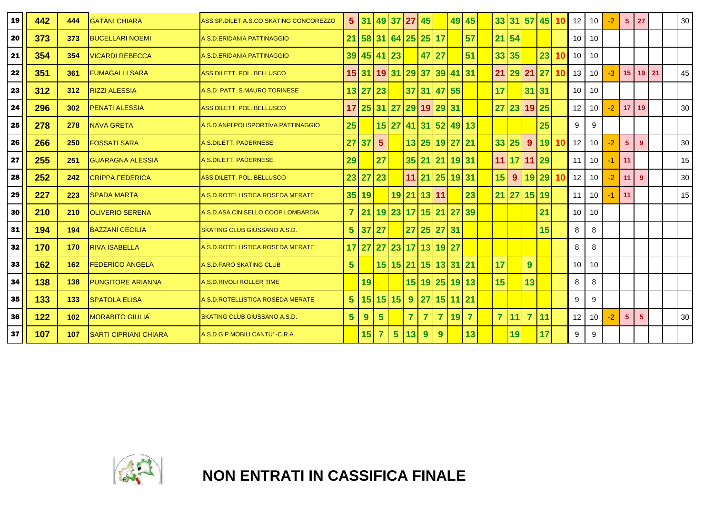| 19 | 442 | 444 | <b>GATANI CHIARA</b>         | ASS.SP.DILET.A.S.CO.SKATING CONCOREZZO | 5 <sup>5</sup> | 131 <sub>h</sub> |                | 49 37          | <b>27</b>      | 45                      |                | 49 45    |                |                    | 33 31 57 45 |                |       | 10 | 12 <sup>12</sup> | 10              | -2   | 5 <sup>5</sup>  | 27             |  | 30 |
|----|-----|-----|------------------------------|----------------------------------------|----------------|------------------|----------------|----------------|----------------|-------------------------|----------------|----------|----------------|--------------------|-------------|----------------|-------|----|------------------|-----------------|------|-----------------|----------------|--|----|
| 20 | 373 | 373 | <b>BUCELLARI NOEMI</b>       | A.S.D.ERIDANIA PATTINAGGIO             | 21             |                  |                |                |                | 58 31 64 25 25 17       |                |          | 57             | $21 \overline{54}$ |             |                |       |    | 10 <sup>1</sup>  | 10              |      |                 |                |  |    |
| 21 | 354 | 354 | <b>VICARDI REBECCA</b>       | A.S.D.ERIDANIA PATTINAGGIO             | 39             |                  | 45 41 23       |                |                | 47                      | 27             |          | 51             | 33 35              |             |                | 23    | 1Λ | 10               | 10              |      |                 |                |  |    |
| 22 | 351 | 361 | <b>FUMAGALLI SARA</b>        | ASS.DILETT. POL. BELLUSCO              |                | 15 31            |                |                |                | 19 31 29 37 39 41 31    |                |          |                | 21                 | $29$ 21     |                | 27    | 10 | 13               | 10              | $-3$ | 15              | $19$ 21        |  | 45 |
| 23 | 312 | 312 | <b>RIZZI ALESSIA</b>         | A.S.D. PATT. S.MAURO TORINESE          |                | 13 27            | 23             |                |                | 37 31 47 55             |                |          |                | 17                 |             | 31 31          |       |    | 10 <sup>1</sup>  | 10              |      |                 |                |  |    |
| 24 | 296 | 302 | <b>PENATI ALESSIA</b>        | ASS.DILETT. POL. BELLUSCO              | 17             | 25 31 27         |                |                |                | 29 19 29 31             |                |          |                |                    | 27 23 19 25 |                |       |    | 12               | 10 <sup>°</sup> | $-2$ | 17 <sup>1</sup> | 19             |  | 30 |
| 25 | 278 | 278 | <b>NAVA GRETA</b>            | A.S.D.ANPI POLISPORTIVA PATTINAGGIO    | 25             |                  |                |                |                | 15 27 41 31 52 49 13    |                |          |                |                    |             |                | 25    |    | 9                | 9               |      |                 |                |  |    |
| 26 | 266 | 250 | <b>FOSSATI SARA</b>          | A.S.DILETT. PADERNESE                  | 27             | 37               | 5 <sup>5</sup> |                |                | 13 25 19 27 21          |                |          |                | 33 25              |             | 9              | 19 10 |    | 12               | 10 <sup>°</sup> | $-2$ | 5 <sup>5</sup>  | 9              |  | 30 |
| 27 | 255 | 251 | <b>GUARAGNA ALESSIA</b>      | A.S.DILETT. PADERNESE                  | 29             |                  | 27             |                |                | 35 21 21 19 31          |                |          |                |                    | 11 17 11 29 |                |       |    | 11               | 10 <sup>°</sup> | -1   | 11              |                |  | 15 |
| 28 | 252 | 242 | <b>CRIPPA FEDERICA</b>       | ASS.DILETT. POL. BELLUSCO              |                | 23 27            | 23             |                |                | 11 21 25 19 31          |                |          |                | 15                 | 9           | $19$ 29        |       | 10 | 12               | 10 <sup>°</sup> | $-2$ | 11              | 9              |  | 30 |
| 29 | 227 | 223 | <b>SPADA MARTA</b>           | A.S.D.ROTELLISTICA ROSEDA MERATE       |                | 35 19            |                |                |                | 19 21 13 11             |                |          | 23             |                    | 21 27 15 19 |                |       |    | 11               | 10 <sup>1</sup> |      | 11              |                |  | 15 |
| 30 | 210 | 210 | <b>OLIVERIO SERENA</b>       | A.S.D.ASA CINISELLO COOP LOMBARDIA     | $\overline{7}$ | 21               |                |                |                | 19 23 17 15 21 27       |                |          | 39             |                    |             |                | 21    |    | 10 <sup>1</sup>  | 10              |      |                 |                |  |    |
| 31 | 194 | 194 | <b>BAZZANI CECILIA</b>       | SKATING CLUB GIUSSANO A.S.D.           | $5\phantom{1}$ | 37               | 27             |                |                | 27 25 27 31             |                |          |                |                    |             |                | 15    |    | 8                | 8               |      |                 |                |  |    |
| 32 | 170 | 170 | <b>RIVA ISABELLA</b>         | A.S.D.ROTELLISTICA ROSEDA MERATE       |                |                  |                |                |                | 17 27 27 23 17 13 19 27 |                |          |                |                    |             |                |       |    | 8                | 8               |      |                 |                |  |    |
| 33 | 162 | 162 | <b>FEDERICO ANGELA</b>       | A.S.D.FARO SKATING CLUB                | $5\phantom{1}$ |                  |                |                |                | 15 15 21 15 13 31 21    |                |          |                | 17                 |             | 9              |       |    | 10               | 10              |      |                 |                |  |    |
| 34 | 138 | 138 | <b>PUNGITORE ARIANNA</b>     | <b>A.S.D.RIVOLI ROLLER TIME</b>        |                | 19               |                |                |                | 15 19 25 19 13          |                |          |                | 15                 |             | 13             |       |    | 8                | 8               |      |                 |                |  |    |
| 35 | 133 | 133 | <b>SPATOLA ELISA</b>         | A.S.D.ROTELLISTICA ROSEDA MERATE       | $5\phantom{1}$ |                  |                | 15 15 15       | 9              | <b>27</b>               |                | 15 11 21 |                |                    |             |                |       |    | 9                | 9               |      |                 |                |  |    |
| 36 | 122 | 102 | <b>MORABITO GIULIA</b>       | <b>SKATING CLUB GIUSSANO A.S.D.</b>    | $5\phantom{1}$ | 9                | $5\phantom{1}$ |                | $\overline{7}$ | $\overline{7}$          | $\overline{7}$ | 19       | $\overline{7}$ | $\overline{7}$     | 11          | $\overline{7}$ | 11    |    | 12 <sup>2</sup>  | 10              | -2   | 5 <sup>5</sup>  | 5 <sup>5</sup> |  | 30 |
| 37 | 107 | 107 | <b>SARTI CIPRIANI CHIARA</b> | A.S.D.G.P.MOBILI CANTU' - C.R.A.       |                | 15 <sub>1</sub>  | 7              | 5 <sup>5</sup> | 13             | 9                       | 9 <sup>°</sup> |          | 13             |                    | 19          |                | 17    |    | 9                | 9               |      |                 |                |  |    |



**NON ENTRATI IN CASSIFICA FINALE**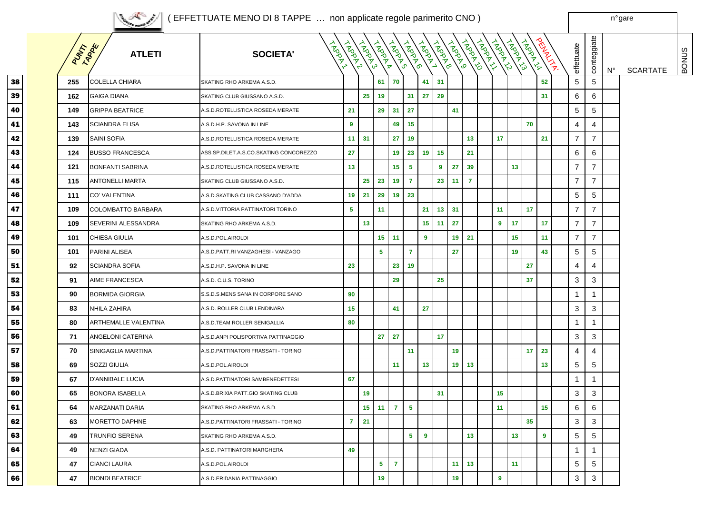<sup>n</sup>° gare

|        |                | <b>CONSTRUCTION</b>         |                                        |                        |         |                |                 |                |                |                 |                 |                |              |                         |            |                           |                           |                |    |                 |              |
|--------|----------------|-----------------------------|----------------------------------------|------------------------|---------|----------------|-----------------|----------------|----------------|-----------------|-----------------|----------------|--------------|-------------------------|------------|---------------------------|---------------------------|----------------|----|-----------------|--------------|
|        | <b>RISTARY</b> | <b>ATLETI</b>               | <b>SOCIETA'</b>                        | <b>IADRY</b><br>FROKIA | CAPANTS | <b>TROOP</b>   | INDOXUS         | <b>HADRO</b>   | LADDY1         | LAPRADO         | TROUTED         | <b>TROPING</b> | <b>HARRY</b> | LAPPALLA                | CAPAR AVIS | PRINTLY IN<br><b>ADDR</b> | effettuate                | conteggiate    | N° | <b>SCARTATE</b> | <b>BONUS</b> |
| 8      | 255            | <b>COLELLA CHIARA</b>       | SKATING RHO ARKEMA A.S.D.              |                        |         | 61             | 70              |                | 41             | 31              |                 |                |              |                         |            | 52                        | $\mathbf 5$               | 5              |    |                 |              |
| 9      | 162            | <b>GAIGA DIANA</b>          | SKATING CLUB GIUSSANO A.S.D.           |                        | 25      | 19             |                 | 31             | 27             | 29              |                 |                |              |                         |            | 31                        | 6                         | 6              |    |                 |              |
| 0      | 149            | <b>GRIPPA BEATRICE</b>      | A.S.D.ROTELLISTICA ROSEDA MERATE       | 21                     |         | 29             | 31              | 27             |                |                 | 41              |                |              |                         |            |                           | $\mathbf 5$               | 5              |    |                 |              |
| 1      | 143            | <b>SCIANDRA ELISA</b>       | A.S.D.H.P. SAVONA IN LINE              | 9                      |         |                | 49              | 15             |                |                 |                 |                |              |                         |            | 70                        | 4                         | 4              |    |                 |              |
| 2      | 139            | <b>SAINI SOFIA</b>          | A.S.D.ROTELLISTICA ROSEDA MERATE       | 11 <sub>1</sub>        | 31      |                | 27              | 19             |                |                 |                 | 13             |              | 17                      |            | 21                        | $\overline{7}$            | $\overline{7}$ |    |                 |              |
| 3      | 124            | <b>BUSSO FRANCESCA</b>      | ASS.SP.DILET.A.S.CO.SKATING CONCOREZZO | 27                     |         |                | 19              | 23             | 19             | 15              |                 | 21             |              |                         |            |                           | 6                         | 6              |    |                 |              |
| 4      | 121            | <b>BONFANTI SABRINA</b>     | A.S.D.ROTELLISTICA ROSEDA MERATE       | 13                     |         |                | 15 <sub>1</sub> | 5              |                | 9               | 27              | 39             |              |                         | 13         |                           | $\overline{7}$            | $\overline{7}$ |    |                 |              |
| 5      | 115            | <b>ANTONELLI MARTA</b>      | SKATING CLUB GIUSSANO A.S.D.           |                        | 25      | 23             | 19              | $\mathbf{7}$   |                | 23              | 11              | $\overline{7}$ |              |                         |            |                           | $\overline{7}$            | $\overline{7}$ |    |                 |              |
| 6      | 111            | <b>CO' VALENTINA</b>        | A.S.D.SKATING CLUB CASSANO D'ADDA      | 19 <sup>1</sup>        | 21      | 29             | 19              | 23             |                |                 |                 |                |              |                         |            |                           | 5                         | 5              |    |                 |              |
| 7      | 109            | COLOMBATTO BARBARA          | A.S.D.VITTORIA PATTINATORI TORINO      | $5\phantom{.0}$        |         | 11             |                 |                | 21             | 13 <sup>1</sup> | 31              |                |              | 11                      |            | 17                        | $\overline{7}$            | $\overline{7}$ |    |                 |              |
| 8      | 109            | SEVERINI ALESSANDRA         | SKATING RHO ARKEMA A.S.D.              |                        | 13      |                |                 |                | 15             | 11              | 27              |                |              | 9                       | 17         | 17                        | $\overline{7}$            | $\overline{7}$ |    |                 |              |
| 9      | 101            | <b>CHIESA GIULIA</b>        | A.S.D.POL.AIROLDI                      |                        |         |                | $15 - 11$       |                | 9              |                 | 19 <sub>°</sub> | 21             |              |                         | 15         | 11                        | $\overline{7}$            | $\overline{7}$ |    |                 |              |
| 0      | 101            | PARINI ALISEA               | A.S.D.PATT.RI VANZAGHESI - VANZAGO     |                        |         | $\sqrt{5}$     |                 | $\mathbf{7}$   |                |                 | 27              |                |              |                         | 19         | 43                        | 5                         | 5              |    |                 |              |
| 1      | 92             | <b>SCIANDRA SOFIA</b>       | A.S.D.H.P. SAVONA IN LINE              | 23                     |         |                | 23              | 19             |                |                 |                 |                |              |                         | 27         |                           | 4                         | 4              |    |                 |              |
| 2      | 91             | <b>AIME FRANCESCA</b>       | A.S.D. C.U.S. TORINO                   |                        |         |                | 29              |                |                | 25              |                 |                |              |                         | 37         |                           | 3                         | 3              |    |                 |              |
| 3      | 90             | <b>BORMIDA GIORGIA</b>      | S.S.D.S.MENS SANA IN CORPORE SANO      | 90                     |         |                |                 |                |                |                 |                 |                |              |                         |            |                           | $\mathbf{1}$              |                |    |                 |              |
| 4      | 83             | NHILA ZAHIRA                | A.S.D. ROLLER CLUB LENDINARA           | 15                     |         |                | 41              |                | 27             |                 |                 |                |              |                         |            |                           | $\ensuremath{\mathsf{3}}$ | 3              |    |                 |              |
| 5      | 80             | <b>ARTHEMALLE VALENTINA</b> | A.S.D.TEAM ROLLER SENIGALLIA           | 80                     |         |                |                 |                |                |                 |                 |                |              |                         |            |                           | $\mathbf{1}$              | 1              |    |                 |              |
| 6      | 71             | ANGELONI CATERINA           | A.S.D.ANPI POLISPORTIVA PATTINAGGIO    |                        |         | 27             | 27              |                |                | 17              |                 |                |              |                         |            |                           | 3                         | 3              |    |                 |              |
|        | 70             | SINIGAGLIA MARTINA          | A.S.D.PATTINATORI FRASSATI - TORINO    |                        |         |                |                 | 11             |                |                 | 19              |                |              |                         |            | 17 <sup>1</sup><br>23     | 4                         | 4              |    |                 |              |
| 8      | 69             | SOZZI GIULIA                | A.S.D.POL.AIROLDI                      |                        |         |                | 11              |                | 13             |                 | 19 <sup>1</sup> | 13             |              |                         |            | 13 <sub>1</sub>           | 5                         | 5              |    |                 |              |
| 9      | 67             | <b>D'ANNIBALE LUCIA</b>     | A.S.D.PATTINATORI SAMBENEDETTESI       | 67                     |         |                |                 |                |                |                 |                 |                |              |                         |            |                           | $\mathbf{1}$              | $\mathbf{1}$   |    |                 |              |
| 0      | 65             | <b>BONORA ISABELLA</b>      | A.S.D.BRIXIA PATT.GIO SKATING CLUB     |                        | 19      |                |                 |                |                | 31              |                 |                |              | 15                      |            |                           | 3                         | 3              |    |                 |              |
| 1      | 64             | MARZANATI DARIA             | SKATING RHO ARKEMA A.S.D.              |                        |         | $15$ 11 7      |                 | $\sqrt{5}$     |                |                 |                 |                |              | 11                      |            | 15 <sub>1</sub>           | 6                         | 6              |    |                 |              |
| ۰<br>2 | 63             | MORETTO DAPHNE              | A.S.D.PATTINATORI FRASSATI - TORINO    | $\mathbf{7}$           | 21      |                |                 |                |                |                 |                 |                |              |                         | 35         |                           | 3                         | 3              |    |                 |              |
| ۰<br>3 | 49             | TRUNFIO SERENA              | SKATING RHO ARKEMA A.S.D.              |                        |         |                |                 | 5 <sup>1</sup> | $\overline{9}$ |                 |                 | 13             |              |                         | 13         | $9^{\circ}$               | $\mathbf 5$               | 5              |    |                 |              |
| 4      | 49             | <b>NENZI GIADA</b>          | A.S.D. PATTINATORI MARGHERA            | 49                     |         |                |                 |                |                |                 |                 |                |              |                         |            |                           | $\mathbf{1}$              | $\mathbf{1}$   |    |                 |              |
| 5      | 47             | <b>CIANCI LAURA</b>         | A.S.D.POL.AIROLDI                      |                        |         | 5 <sup>5</sup> | $\overline{7}$  |                |                |                 | 11              | 13             |              |                         | 11         |                           | 5                         | 5              |    |                 |              |
| 6      | 47             | <b>BIONDI BEATRICE</b>      | A.S.D.ERIDANIA PATTINAGGIO             |                        |         | 19             |                 |                |                |                 | 19              |                |              | $\overline{\mathbf{9}}$ |            |                           | 3                         | 3              |    |                 |              |